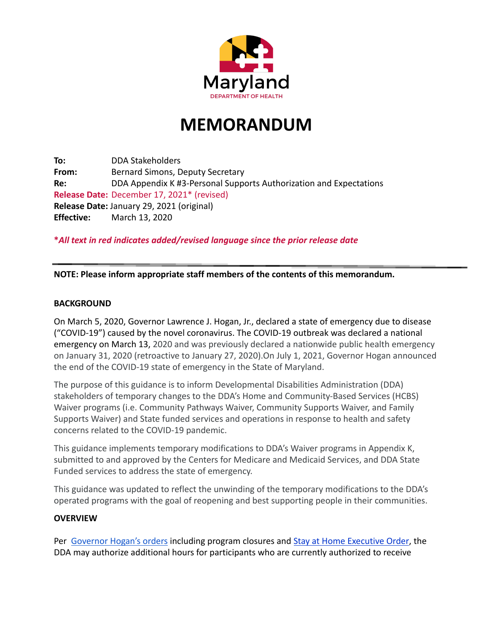

# **MEMORANDUM**

**To:** DDA Stakeholders **From:** Bernard Simons, Deputy Secretary **Re:** DDA Appendix K #3-Personal Supports Authorization and Expectations **Release Date:** December 17, 2021\* (revised) **Release Date:** January 29, 2021 (original) **Effective:** March 13, 2020

**\****All text in red indicates added/revised language since the prior release date*

## **NOTE: Please inform appropriate staff members of the contents of this memorandum.**

#### **BACKGROUND**

On March 5, 2020, Governor Lawrence J. Hogan, Jr., declared a state of emergency due to disease ("COVID-19") caused by the novel coronavirus. The COVID-19 outbreak was declared a national emergency on March 13, 2020 and was previously declared a nationwide public health emergency on January 31, 2020 (retroactive to January 27, 2020).On July 1, 2021, Governor Hogan announced the end of the COVID-19 state of emergency in the State of Maryland.

The purpose of this guidance is to inform Developmental Disabilities Administration (DDA) stakeholders of temporary changes to the DDA's Home and Community-Based Services (HCBS) Waiver programs (i.e. Community Pathways Waiver, Community Supports Waiver, and Family Supports Waiver) and State funded services and operations in response to health and safety concerns related to the COVID-19 pandemic.

This guidance implements temporary modifications to DDA's Waiver programs in Appendix K, submitted to and approved by the Centers for Medicare and Medicaid Services, and DDA State Funded services to address the state of emergency.

This guidance was updated to reflect the unwinding of the temporary modifications to the DDA's operated programs with the goal of reopening and best supporting people in their communities.

## **OVERVIEW**

Per [Governor Hogan's orders](https://governor.maryland.gov/covid-19-pandemic-orders-and-guidance/) including program closures and [Stay at Home Executive Order](https://dda.health.maryland.gov/Documents/COVID%2019%20Documents/Governor%20Hogan%27s%20Stay%20at%20Home%20%20Executive%20Order%203-30-20.pdf), the DDA may authorize additional hours for participants who are currently authorized to receive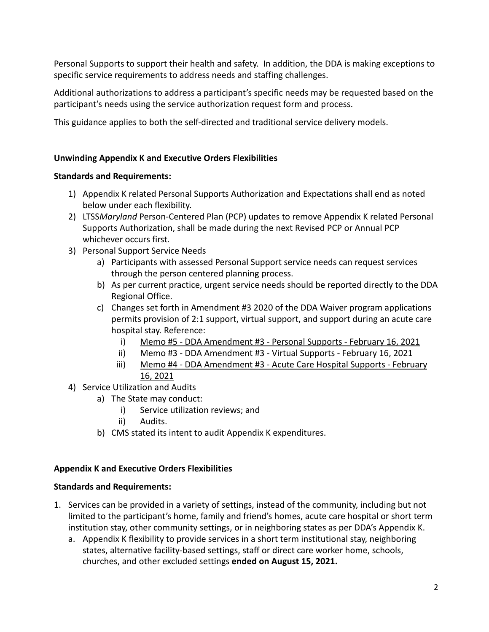Personal Supports to support their health and safety. In addition, the DDA is making exceptions to specific service requirements to address needs and staffing challenges.

Additional authorizations to address a participant's specific needs may be requested based on the participant's needs using the service authorization request form and process.

This guidance applies to both the self-directed and traditional service delivery models.

# **Unwinding Appendix K and Executive Orders Flexibilities**

# **Standards and Requirements:**

- 1) Appendix K related Personal Supports Authorization and Expectations shall end as noted below under each flexibility.
- 2) LTSS*Maryland* Person-Centered Plan (PCP) updates to remove Appendix K related Personal Supports Authorization, shall be made during the next Revised PCP or Annual PCP whichever occurs first.
- 3) Personal Support Service Needs
	- a) Participants with assessed Personal Support service needs can request services through the person centered planning process.
	- b) As per current practice, urgent service needs should be reported directly to the DDA Regional Office.
	- c) Changes set forth in Amendment #3 2020 of the DDA Waiver program applications permits provision of 2:1 support, virtual support, and support during an acute care hospital stay. Reference:
		- i) [Memo #5 DDA Amendment #3 Personal Supports February 16, 2021](https://health.maryland.gov/dda/Documents/Waiver%20Documents/DDA%20Amendment%203%20-%202020%20Memo%20Guidance/Memo%205%20-%20DDA%20Amendment%203%20-%20%20Personal%20Supports%20Final%20Draft%202-14-2021.pdf)
		- ii) [Memo #3 DDA Amendment #3 Virtual Supports February 16, 2021](https://health.maryland.gov/dda/Documents/Waiver%20Documents/DDA%20Amendment%203%20-%202020%20Memo%20Guidance/Memo%203%20-%20DDA%20Amendment%203%20-%20Virtual%20Supports%20Final%20Feb%2016,%202021.pdf)
		- iii) [Memo #4 DDA Amendment #3 Acute Care Hospital Supports February](https://health.maryland.gov/dda/Documents/Waiver%20Documents/DDA%20Amendment%203%20-%202020%20Memo%20Guidance/Memo%204%20-%20DDA%20Amendment%203%20-%20%20Acute%20Care%20Hospital%20Supports%20Final%20Feb%2016,%202021.pdf) [16, 2021](https://health.maryland.gov/dda/Documents/Waiver%20Documents/DDA%20Amendment%203%20-%202020%20Memo%20Guidance/Memo%204%20-%20DDA%20Amendment%203%20-%20%20Acute%20Care%20Hospital%20Supports%20Final%20Feb%2016,%202021.pdf)
- 4) Service Utilization and Audits
	- a) The State may conduct:
		- i) Service utilization reviews; and
		- ii) Audits.
	- b) CMS stated its intent to audit Appendix K expenditures.

## **Appendix K and Executive Orders Flexibilities**

## **Standards and Requirements:**

- 1. Services can be provided in a variety of settings, instead of the community, including but not limited to the participant's home, family and friend's homes, acute care hospital or short term institution stay, other community settings, or in neighboring states as per DDA's Appendix K.
	- a. Appendix K flexibility to provide services in a short term institutional stay, neighboring states, alternative facility-based settings, staff or direct care worker home, schools, churches, and other excluded settings **ended on August 15, 2021.**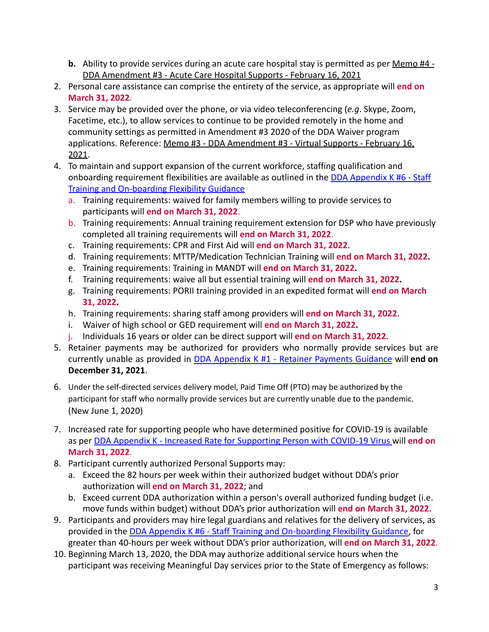- **b.** Ability to provide services during an acute care hospital stay is permitted as per [Memo #4 -](https://health.maryland.gov/dda/Documents/Waiver%20Documents/DDA%20Amendment%203%20-%202020%20Memo%20Guidance/Memo%204%20-%20DDA%20Amendment%203%20-%20%20Acute%20Care%20Hospital%20Supports%20Final%20Feb%2016,%202021.pdf) [DDA Amendment #3 - Acute Care Hospital Supports - February 16, 2021](https://health.maryland.gov/dda/Documents/Waiver%20Documents/DDA%20Amendment%203%20-%202020%20Memo%20Guidance/Memo%204%20-%20DDA%20Amendment%203%20-%20%20Acute%20Care%20Hospital%20Supports%20Final%20Feb%2016,%202021.pdf)
- 2. Personal care assistance can comprise the entirety of the service, as appropriate will **end on March 31, 2022**.
- 3. Service may be provided over the phone, or via video teleconferencing (*e.g*. Skype, Zoom, Facetime, etc.), to allow services to continue to be provided remotely in the home and community settings as permitted in Amendment #3 2020 of the DDA Waiver program applications. Reference: Memo #3 - DDA Amendment #3 [- Virtual Supports - February 16,](https://health.maryland.gov/dda/Documents/Waiver%20Documents/DDA%20Amendment%203%20-%202020%20Memo%20Guidance/Memo%203%20-%20DDA%20Amendment%203%20-%20Virtual%20Supports%20Final%20Feb%2016,%202021.pdf) [2021.](https://health.maryland.gov/dda/Documents/Waiver%20Documents/DDA%20Amendment%203%20-%202020%20Memo%20Guidance/Memo%203%20-%20DDA%20Amendment%203%20-%20Virtual%20Supports%20Final%20Feb%2016,%202021.pdf)
- 4. To maintain and support expansion of the current workforce, staffing qualification and onboarding requirement flexibilities are available as outlined in the [DDA Appendix K #6 - Staff](https://dda.health.maryland.gov/Pages/DDA_Appendix_K.aspx) [Training and On-boarding Flexibility Guidance](https://dda.health.maryland.gov/Pages/DDA_Appendix_K.aspx)
	- a. Training requirements: waived for family members willing to provide services to participants will **end on March 31, 2022**.
	- b. Training requirements: Annual training requirement extension for DSP who have previously completed all training requirements will **end on March 31, 2022**.
	- c. Training requirements: CPR and First Aid will **end on March 31, 2022**.
	- d. Training requirements: MTTP/Medication Technician Training will **end on March 31, 2022.**
	- e. Training requirements: Training in MANDT will **end on March 31, 2022.**
	- f. Training requirements: waive all but essential training will **end on March 31, 2022.**
	- g. Training requirements: PORII training provided in an expedited format will **end on March 31, 2022.**
	- h. Training requirements: sharing staff among providers will **end on March 31, 2022**.
	- i. Waiver of high school or GED requirement will **end on March 31, 2022.**
	- j. Individuals 16 years or older can be direct support will **end on March 31, 2022**.
- 5. Retainer payments may be authorized for providers who normally provide services but are currently unable as provided in DDA Appendix K #1 - Retainer [Payments](https://dda.health.maryland.gov/Pages/DDA_Appendix_K.aspx) Guidance will **end on December 31, 2021**.
- 6. Under the self-directed services delivery model, Paid Time Off (PTO) may be authorized by the participant for staff who normally provide services but are currently unable due to the pandemic. (New June 1, 2020)
- 7. Increased rate for supporting people who have determined positive for COVID-19 is available as per DDA Appendix K - [Increased Rate for Supporting](https://dda.health.maryland.gov/Pages/DDA_Appendix_K.aspx) Person with COVID-19 Virus will **end on March 31, 2022**.
- 8. Participant currently authorized Personal Supports may:
	- a. Exceed the 82 hours per week within their authorized budget without DDA's prior authorization will **end on March 31, 2022**; and
	- b. Exceed current DDA authorization within a person's overall authorized funding budget (i.e. move funds within budget) without DDA's prior authorization will **end on March 31, 2022.**
- 9. Participants and providers may hire legal guardians and relatives for the delivery of services, as provided in the DDA Appendix K #6 - Staff Training [and On-boarding Flexibility Guidance,](https://dda.health.maryland.gov/Pages/DDA_Appendix_K.aspx) for greater than 40-hours per week without DDA's prior authorization, will **end on March 31, 2022**.
- 10. Beginning March 13, 2020, the DDA may authorize additional service hours when the participant was receiving Meaningful Day services prior to the State of Emergency as follows: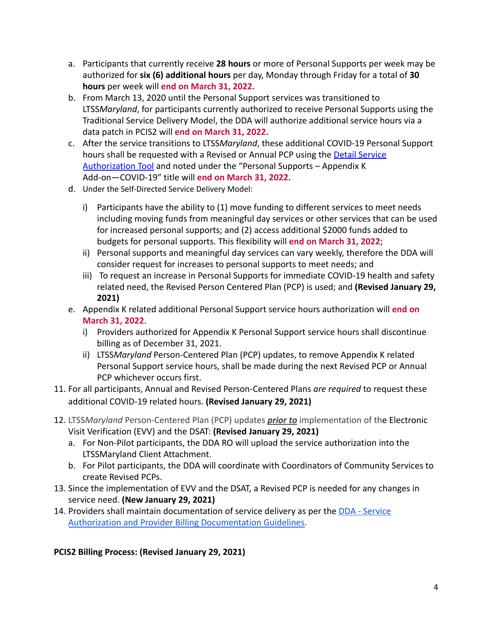- a. Participants that currently receive **28 hours** or more of Personal Supports per week may be authorized for **six (6) additional hours** per day, Monday through Friday for a total of **30 hours** per week will **end on March 31, 2022.**
- b. From March 13, 2020 until the Personal Support services was transitioned to LTSS*Maryland*, for participants currently authorized to receive Personal Supports using the Traditional Service Delivery Model, the DDA will authorize additional service hours via a data patch in PCIS2 will **end on March 31, 2022.**
- c. After the service transitions to LTSS*Maryland*, these additional COVID-19 Personal Support hours shall be requested with a Revised or Annual PCP using the [Detail Service](https://dda.health.maryland.gov/Pages/Person-Centered_Planning.aspx) [Authorization Tool](https://dda.health.maryland.gov/Pages/Person-Centered_Planning.aspx) and noted under the "Personal Supports – Appendix K Add-on—COVID-19" title will **end on March 31, 2022.**
- d. Under the Self-Directed Service Delivery Model:
	- i) Participants have the ability to (1) move funding to different services to meet needs including moving funds from meaningful day services or other services that can be used for increased personal supports; and (2) access additional \$2000 funds added to budgets for personal supports. This flexibility will **end on March 31, 2022**;
	- ii) Personal supports and meaningful day services can vary weekly, therefore the DDA will consider request for increases to personal supports to meet needs; and
	- iii) To request an increase in Personal Supports for immediate COVID-19 health and safety related need, the Revised Person Centered Plan (PCP) is used; and **(Revised January 29, 2021)**
- e. Appendix K related additional Personal Support service hours authorization will **end on March 31, 2022**.
	- i) Providers authorized for Appendix K Personal Support service hours shall discontinue billing as of December 31, 2021.
	- ii) LTSS*Maryland* Person-Centered Plan (PCP) updates, to remove Appendix K related Personal Support service hours, shall be made during the next Revised PCP or Annual PCP whichever occurs first.
- 11. For all participants, Annual and Revised Person-Centered Plans *are required* to request these additional COVID-19 related hours. **(Revised January 29, 2021)**
- 12. LTSS*Maryland* Person-Centered Plan (PCP) updates *prior to* implementation of the Electronic Visit Verification (EVV) and the DSAT: **(Revised January 29, 2021)**
	- a. For Non-Pilot participants, the DDA RO will upload the service authorization into the LTSSMaryland Client Attachment.
	- b. For Pilot participants, the DDA will coordinate with Coordinators of Community Services to create Revised PCPs.
- 13. Since the implementation of EVV and the DSAT, a Revised PCP is needed for any changes in service need. **(New January 29, 2021)**
- 14. Providers shall maintain documentation of service delivery as per the [DDA Service](https://dda.health.maryland.gov/Pages/Person-Centered_Planning.aspx) [Authorization and Provider Billing Documentation Guidelines.](https://dda.health.maryland.gov/Pages/Person-Centered_Planning.aspx)

## **PCIS2 Billing Process: (Revised January 29, 2021)**